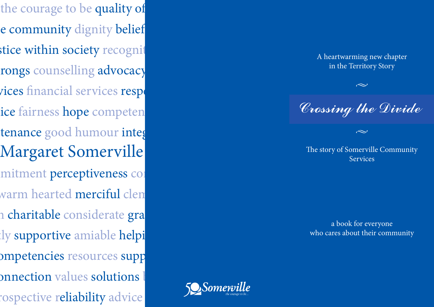the courage to be quality of e community dignity belief stice within society recognit rongs counselling advocacy vices financial services respe ice fairness hope competen tenance good humour integ Margaret Somerville mitment perceptiveness con warm hearted **merciful** clen n charitable considerate gra tly supportive amiable helpi ompetencies resources supp onnection values solutions l rospective reliability advice



A heartwarming new chapter in the Territory Story  $\mathbb{R}$  and  $\mathbb{R}$  services  $\mathbb{R}$  services  $\mathbb{R}$ 

 $\begin{array}{c} \sim \[-2.0mm] \sim \end{array}$ Crossing the Divide

The story of Somerville Community Services Peter and Sheila Forrest

a book for everyone who cares about their community